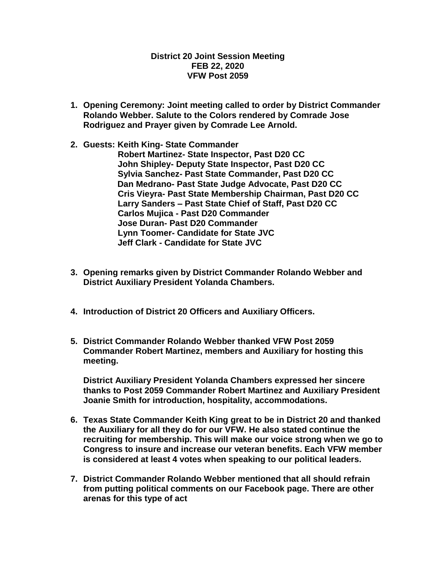## **District 20 Joint Session Meeting FEB 22, 2020 VFW Post 2059**

- **1. Opening Ceremony: Joint meeting called to order by District Commander Rolando Webber. Salute to the Colors rendered by Comrade Jose Rodriguez and Prayer given by Comrade Lee Arnold.**
- **2. Guests: Keith King- State Commander Robert Martinez- State Inspector, Past D20 CC John Shipley- Deputy State Inspector, Past D20 CC Sylvia Sanchez- Past State Commander, Past D20 CC Dan Medrano- Past State Judge Advocate, Past D20 CC Cris Vieyra- Past State Membership Chairman, Past D20 CC Larry Sanders – Past State Chief of Staff, Past D20 CC Carlos Mujica - Past D20 Commander Jose Duran- Past D20 Commander Lynn Toomer- Candidate for State JVC Jeff Clark - Candidate for State JVC**
- **3. Opening remarks given by District Commander Rolando Webber and District Auxiliary President Yolanda Chambers.**
- **4. Introduction of District 20 Officers and Auxiliary Officers.**
- **5. District Commander Rolando Webber thanked VFW Post 2059 Commander Robert Martinez, members and Auxiliary for hosting this meeting.**

**District Auxiliary President Yolanda Chambers expressed her sincere thanks to Post 2059 Commander Robert Martinez and Auxiliary President Joanie Smith for introduction, hospitality, accommodations.**

- **6. Texas State Commander Keith King great to be in District 20 and thanked the Auxiliary for all they do for our VFW. He also stated continue the recruiting for membership. This will make our voice strong when we go to Congress to insure and increase our veteran benefits. Each VFW member is considered at least 4 votes when speaking to our political leaders.**
- **7. District Commander Rolando Webber mentioned that all should refrain from putting political comments on our Facebook page. There are other arenas for this type of act**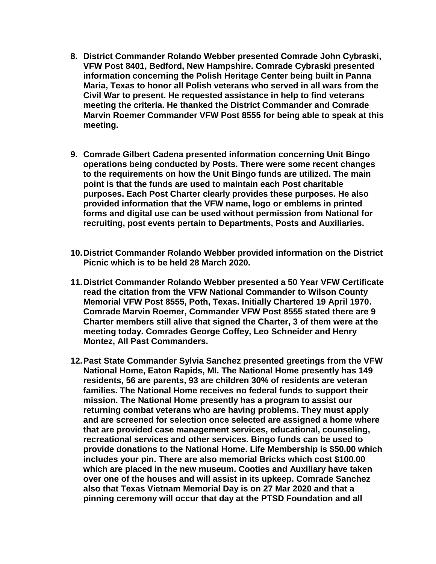- **8. District Commander Rolando Webber presented Comrade John Cybraski, VFW Post 8401, Bedford, New Hampshire. Comrade Cybraski presented information concerning the Polish Heritage Center being built in Panna Maria, Texas to honor all Polish veterans who served in all wars from the Civil War to present. He requested assistance in help to find veterans meeting the criteria. He thanked the District Commander and Comrade Marvin Roemer Commander VFW Post 8555 for being able to speak at this meeting.**
- **9. Comrade Gilbert Cadena presented information concerning Unit Bingo operations being conducted by Posts. There were some recent changes to the requirements on how the Unit Bingo funds are utilized. The main point is that the funds are used to maintain each Post charitable purposes. Each Post Charter clearly provides these purposes. He also provided information that the VFW name, logo or emblems in printed forms and digital use can be used without permission from National for recruiting, post events pertain to Departments, Posts and Auxiliaries.**
- **10.District Commander Rolando Webber provided information on the District Picnic which is to be held 28 March 2020.**
- **11.District Commander Rolando Webber presented a 50 Year VFW Certificate read the citation from the VFW National Commander to Wilson County Memorial VFW Post 8555, Poth, Texas. Initially Chartered 19 April 1970. Comrade Marvin Roemer, Commander VFW Post 8555 stated there are 9 Charter members still alive that signed the Charter, 3 of them were at the meeting today. Comrades George Coffey, Leo Schneider and Henry Montez, All Past Commanders.**
- **12.Past State Commander Sylvia Sanchez presented greetings from the VFW National Home, Eaton Rapids, MI. The National Home presently has 149 residents, 56 are parents, 93 are children 30% of residents are veteran families. The National Home receives no federal funds to support their mission. The National Home presently has a program to assist our returning combat veterans who are having problems. They must apply and are screened for selection once selected are assigned a home where that are provided case management services, educational, counseling, recreational services and other services. Bingo funds can be used to provide donations to the National Home. Life Membership is \$50.00 which includes your pin. There are also memorial Bricks which cost \$100.00 which are placed in the new museum. Cooties and Auxiliary have taken over one of the houses and will assist in its upkeep. Comrade Sanchez also that Texas Vietnam Memorial Day is on 27 Mar 2020 and that a pinning ceremony will occur that day at the PTSD Foundation and all**